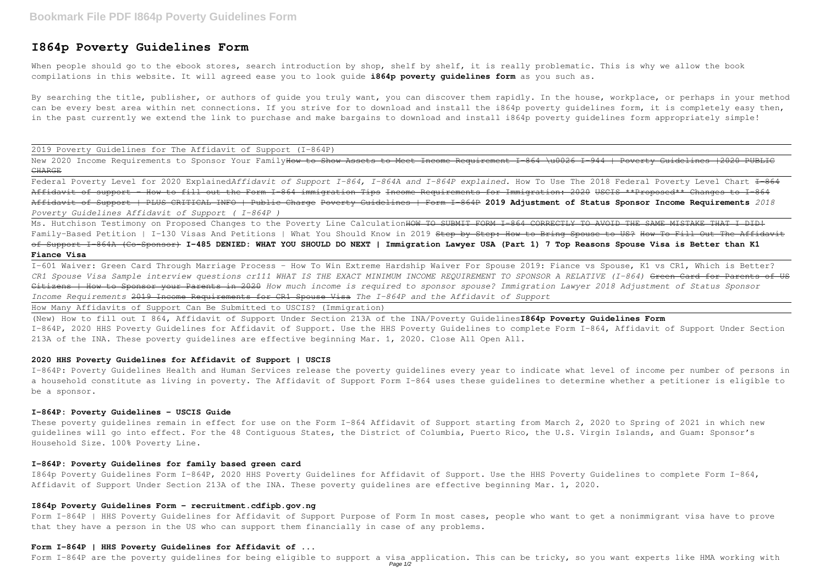# **I864p Poverty Guidelines Form**

When people should go to the ebook stores, search introduction by shop, shelf by shelf, it is really problematic. This is why we allow the book compilations in this website. It will agreed ease you to look guide **i864p poverty guidelines form** as you such as.

By searching the title, publisher, or authors of quide you truly want, you can discover them rapidly. In the house, workplace, or perhaps in your method can be every best area within net connections. If you strive for to download and install the i864p poverty guidelines form, it is completely easy then, in the past currently we extend the link to purchase and make bargains to download and install i864p poverty guidelines form appropriately simple!

Federal Poverty Level for 2020 ExplainedAffidavit of Support I-864, I-864A and I-864P explained. How To Use The 2018 Federal Poverty Level Chart <del>I-864</del> Affidavit of support - How to fill out the Form I-864 immigration Tips Income Requirements for Immigration: 2020 USCIS \*\*Proposed\*\* Changes to I-864 Affidavit of Support | PLUS CRITICAL INFO | Public Charge Poverty Guidelines | Form I-864P **2019 Adjustment of Status Sponsor Income Requirements** *2018 Poverty Guidelines Affidavit of Support ( I-864P )*

2019 Poverty Guidelines for The Affidavit of Support (I-864P)

New 2020 Income Requirements to Sponsor Your FamilyHow to Show Assets to Meet Income Requirement I-864 \u0026 I-944 | Poverty Guidelines |2020 PUBLIC **CHARGE** 

Ms. Hutchison Testimony on Proposed Changes to the Poverty Line Calculation HOW TO SUBMIT FORM I-864 CORRECTLY TO AVOID THE SAME MISTAKE THAT I DID! Family-Based Petition | I-130 Visas And Petitions | What You Should Know in 2019 <del>Step by Step: How to Bring Spouse to US? How To Fill Out The Affidavit</del> of Support I-864A (Co-Sponsor) **I-485 DENIED: WHAT YOU SHOULD DO NEXT | Immigration Lawyer USA (Part 1) 7 Top Reasons Spouse Visa is Better than K1 Fiance Visa**

I-601 Waiver: Green Card Through Marriage Process - How To Win Extreme Hardship Waiver For Spouse 2019: Fiance vs Spouse, K1 vs CR1, Which is Better? *CR1 Spouse Visa Sample interview questions cr111 WHAT IS THE EXACT MINIMUM INCOME REQUIREMENT TO SPONSOR A RELATIVE (I-864)* Green Card for Parents of US Citizens | How to Sponsor your Parents in 2020 *How much income is required to sponsor spouse? Immigration Lawyer 2018 Adjustment of Status Sponsor Income Requirements* 2019 Income Requirements for CR1 Spouse Visa *The I-864P and the Affidavit of Support*

How Many Affidavits of Support Can Be Submitted to USCIS? (Immigration)

(New) How to fill out I 864, Affidavit of Support Under Section 213A of the INA/Poverty Guidelines**I864p Poverty Guidelines Form** I-864P, 2020 HHS Poverty Guidelines for Affidavit of Support. Use the HHS Poverty Guidelines to complete Form I-864, Affidavit of Support Under Section 213A of the INA. These poverty guidelines are effective beginning Mar. 1, 2020. Close All Open All.

# **2020 HHS Poverty Guidelines for Affidavit of Support | USCIS**

I-864P: Poverty Guidelines Health and Human Services release the poverty guidelines every year to indicate what level of income per number of persons in a household constitute as living in poverty. The Affidavit of Support Form I-864 uses these guidelines to determine whether a petitioner is eligible to be a sponsor.

#### **I-864P: Poverty Guidelines - USCIS Guide**

These poverty guidelines remain in effect for use on the Form I-864 Affidavit of Support starting from March 2, 2020 to Spring of 2021 in which new guidelines will go into effect. For the 48 Contiguous States, the District of Columbia, Puerto Rico, the U.S. Virgin Islands, and Guam: Sponsor's Household Size. 100% Poverty Line.

#### **I-864P: Poverty Guidelines for family based green card**

I864p Poverty Guidelines Form I-864P, 2020 HHS Poverty Guidelines for Affidavit of Support. Use the HHS Poverty Guidelines to complete Form I-864, Affidavit of Support Under Section 213A of the INA. These poverty guidelines are effective beginning Mar. 1, 2020.

### **I864p Poverty Guidelines Form - recruitment.cdfipb.gov.ng**

Form I-864P | HHS Poverty Guidelines for Affidavit of Support Purpose of Form In most cases, people who want to get a nonimmigrant visa have to prove that they have a person in the US who can support them financially in case of any problems.

#### **Form I-864P | HHS Poverty Guidelines for Affidavit of ...**

Form I-864P are the poverty guidelines for being eligible to support a visa application. This can be tricky, so you want experts like HMA working with Page 1/2